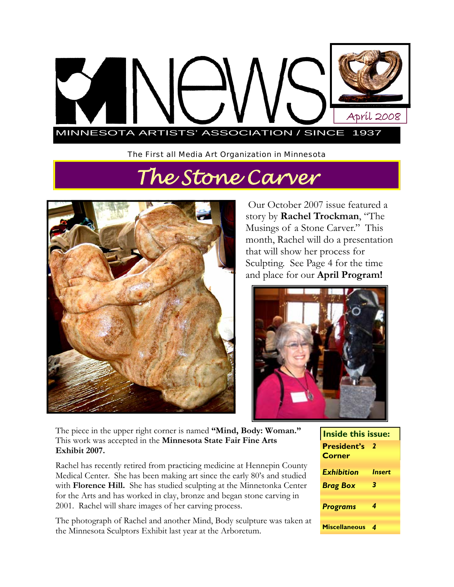

The First all Media Art Organization in Minnesota

*The Stone Carver* 



 Our October 2007 issue featured a story by **Rachel Trockman**, "The Musings of a Stone Carver." This month, Rachel will do a presentation that will show her process for Sculpting. See Page 4 for the time and place for our **April Program!** 



The piece in the upper right corner is named **"Mind, Body: Woman."**  This work was accepted in the **Minnesota State Fair Fine Arts Exhibit 2007.** 

Rachel has recently retired from practicing medicine at Hennepin County Medical Center. She has been making art since the early 80's and studied with **Florence Hill.** She has studied sculpting at the Minnetonka Center for the Arts and has worked in clay, bronze and began stone carving in 2001. Rachel will share images of her carving process.

The photograph of Rachel and another Mind, Body sculpture was taken at the Minnesota Sculptors Exhibit last year at the Arboretum.

| Inside this issue:                  |        |
|-------------------------------------|--------|
| <b>President's</b><br><b>Corner</b> | 2      |
| <b>Exhibition</b>                   | Insert |
| <b>Brag Box</b>                     | 3      |
|                                     | 4      |
| <b>Programs</b>                     |        |
| <b>Miscellaneous</b>                |        |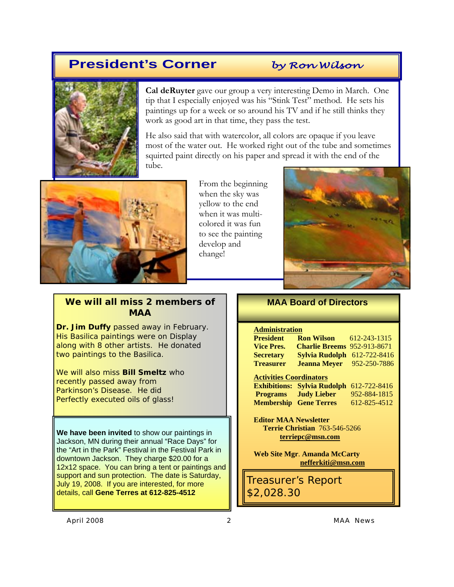## **President's Corner** *by Ron Wilson*



**Cal deRuyter** gave our group a very interesting Demo in March. One tip that I especially enjoyed was his "Stink Test" method. He sets his paintings up for a week or so around his TV and if he still thinks they work as good art in that time, they pass the test.

He also said that with watercolor, all colors are opaque if you leave most of the water out. He worked right out of the tube and sometimes squirted paint directly on his paper and spread it with the end of the tube.



From the beginning when the sky was yellow to the end when it was multicolored it was fun to see the painting develop and change!



#### **We will all miss 2 members of MAA**

**Dr. Jim Duffy** passed away in February. His Basilica paintings were on Display along with 8 other artists. He donated two paintings to the Basilica.

We will also miss **Bill Smeltz** who recently passed away from Parkinson's Disease. He did Perfectly executed oils of glass!

**We have been invited** to show our paintings in Jackson, MN during their annual "Race Days" for the "Art in the Park" Festival in the Festival Park in downtown Jackson. They charge \$20.00 for a 12x12 space. You can bring a tent or paintings and support and sun protection. The date is Saturday, July 19, 2008. If you are interested, for more details, call **Gene Terres at 612-825-4512** 

#### **MAA Board of Directors**

#### **Administration**

| <b>Ron Wilson</b>                  | 612-243-1315 |  |  |
|------------------------------------|--------------|--|--|
| <b>Charlie Breems 952-913-8671</b> |              |  |  |
| <b>Sylvia Rudolph</b>              | 612-722-8416 |  |  |
| <b>Jeanna Meyer</b>                | 952-250-7886 |  |  |
| <b>Activities Coordinators</b>     |              |  |  |
| <b>Exhibitions: Sylvia Rudolph</b> | 612-722-8416 |  |  |
| <b>Programs</b> Judy Lieber        | 952-884-1815 |  |  |
| <b>Membership Gene Terres</b>      | 612-825-4512 |  |  |
|                                    |              |  |  |

**Editor MAA Newsletter Terrie Christian** 763-546-5266 **terriepc@msn.com**

**Web Site Mgr**. **Amanda McCarty nefferkiti@msn.com** 

Treasurer's Report \$2,028.30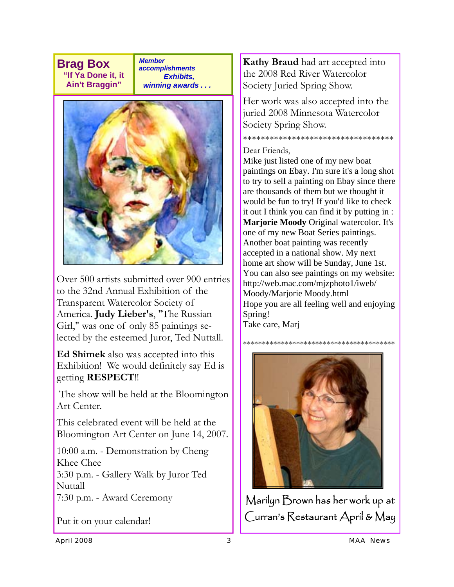**Brag Box "If Ya Done it, it Ain't Braggin"** 

*Member accomplishments Exhibits, winning awards . . .* 



Over 500 artists submitted over 900 entries to the 32nd Annual Exhibition of the Transparent Watercolor Society of America. **Judy Lieber's**, "The Russian Girl," was one of only 85 paintings selected by the esteemed Juror, Ted Nuttall.

**Ed Shimek** also was accepted into this Exhibition! We would definitely say Ed is getting **RESPECT**!!

 The show will be held at the Bloomington Art Center.

This celebrated event will be held at the Bloomington Art Center on June 14, 2007.

10:00 a.m. - Demonstration by Cheng Khee Chee

3:30 p.m. - Gallery Walk by Juror Ted **Nuttall** 

7:30 p.m. - Award Ceremony

Put it on your calendar!

**Kathy Braud** had art accepted into the 2008 Red River Watercolor Society Juried Spring Show.

Her work was also accepted into the juried 2008 Minnesota Watercolor Society Spring Show.

### \*\*\*\*\*\*\*\*\*\*\*\*\*\*\*\*\*\*\*\*\*\*\*\*\*\*\*\*\*\*\*\*\*\*

#### Dear Friends,

Mike just listed one of my new boat paintings on Ebay. I'm sure it's a long shot to try to sell a painting on Ebay since there are thousands of them but we thought it would be fun to try! If you'd like to check it out I think you can find it by putting in : **Marjorie Moody** Original watercolor. It's one of my new Boat Series paintings. Another boat painting was recently accepted in a national show. My next home art show will be Sunday, June 1st. You can also see paintings on my website: http://web.mac.com/mjzphoto1/iweb/ Moody/Marjorie Moody.html Hope you are all feeling well and enjoying Spring! Take care, Marj



Marilyn Brown has her work up at Curran's Restaurant April & May